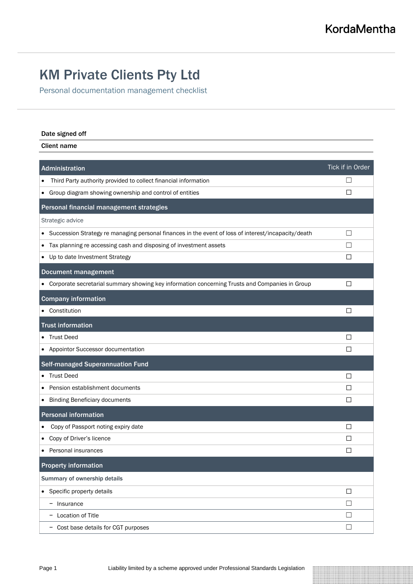## KM Private Clients Pty Ltd

Personal documentation management checklist

## Date signed off

Client name

| Administration                                                                                                   | Tick if in Order         |
|------------------------------------------------------------------------------------------------------------------|--------------------------|
| Third Party authority provided to collect financial information                                                  | H                        |
| Group diagram showing ownership and control of entities<br>$\bullet$                                             | П                        |
| Personal financial management strategies                                                                         |                          |
| Strategic advice                                                                                                 |                          |
| Succession Strategy re managing personal finances in the event of loss of interest/incapacity/death<br>$\bullet$ | $\Box$                   |
| Tax planning re accessing cash and disposing of investment assets<br>٠                                           | $\overline{\phantom{a}}$ |
| Up to date Investment Strategy                                                                                   | П                        |
| <b>Document management</b>                                                                                       |                          |
| • Corporate secretarial summary showing key information concerning Trusts and Companies in Group                 | ⊔                        |
| <b>Company information</b>                                                                                       |                          |
| Constitution                                                                                                     | $\perp$                  |
| <b>Trust information</b>                                                                                         |                          |
| <b>Trust Deed</b>                                                                                                | ΙI                       |
| Appointor Successor documentation                                                                                | ⊔                        |
| <b>Self-managed Superannuation Fund</b>                                                                          |                          |
| <b>Trust Deed</b>                                                                                                | □                        |
| Pension establishment documents                                                                                  | $\mathsf{L}$             |
| <b>Binding Beneficiary documents</b><br>٠                                                                        | П                        |
| <b>Personal information</b>                                                                                      |                          |
| Copy of Passport noting expiry date                                                                              | П                        |
| Copy of Driver's licence                                                                                         | $\mathsf{L}$             |
| Personal insurances                                                                                              | П                        |
| <b>Property information</b>                                                                                      |                          |
| Summary of ownership details                                                                                     |                          |
| • Specific property details                                                                                      | $\Box$                   |
| - Insurance                                                                                                      | $\Box$                   |
| Location of Title                                                                                                | $\Box$                   |
| - Cost base details for CGT purposes                                                                             | $\Box$                   |